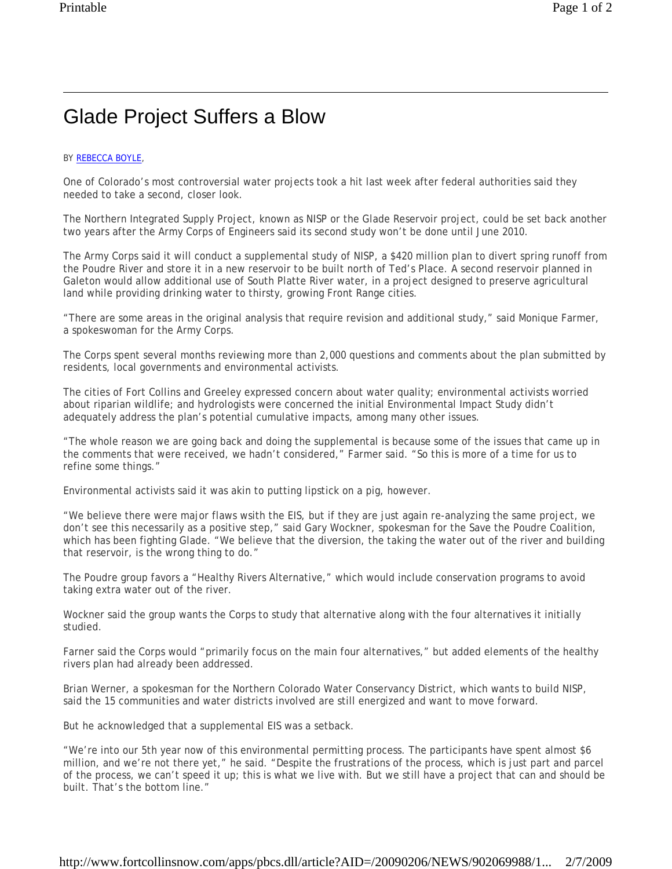## Glade Project Suffers a Blow

## BY REBECCA BOYLE,

One of Colorado's most controversial water projects took a hit last week after federal authorities said they needed to take a second, closer look.

The Northern Integrated Supply Project, known as NISP or the Glade Reservoir project, could be set back another two years after the Army Corps of Engineers said its second study won't be done until June 2010.

The Army Corps said it will conduct a supplemental study of NISP, a \$420 million plan to divert spring runoff from the Poudre River and store it in a new reservoir to be built north of Ted's Place. A second reservoir planned in Galeton would allow additional use of South Platte River water, in a project designed to preserve agricultural land while providing drinking water to thirsty, growing Front Range cities.

"There are some areas in the original analysis that require revision and additional study," said Monique Farmer, a spokeswoman for the Army Corps.

The Corps spent several months reviewing more than 2,000 questions and comments about the plan submitted by residents, local governments and environmental activists.

The cities of Fort Collins and Greeley expressed concern about water quality; environmental activists worried about riparian wildlife; and hydrologists were concerned the initial Environmental Impact Study didn't adequately address the plan's potential cumulative impacts, among many other issues.

"The whole reason we are going back and doing the supplemental is because some of the issues that came up in the comments that were received, we hadn't considered," Farmer said. "So this is more of a time for us to refine some things."

Environmental activists said it was akin to putting lipstick on a pig, however.

"We believe there were major flaws wsith the EIS, but if they are just again re-analyzing the same project, we don't see this necessarily as a positive step," said Gary Wockner, spokesman for the Save the Poudre Coalition, which has been fighting Glade. "We believe that the diversion, the taking the water out of the river and building that reservoir, is the wrong thing to do."

The Poudre group favors a "Healthy Rivers Alternative," which would include conservation programs to avoid taking extra water out of the river.

Wockner said the group wants the Corps to study that alternative along with the four alternatives it initially studied.

Farner said the Corps would "primarily focus on the main four alternatives," but added elements of the healthy rivers plan had already been addressed.

Brian Werner, a spokesman for the Northern Colorado Water Conservancy District, which wants to build NISP, said the 15 communities and water districts involved are still energized and want to move forward.

But he acknowledged that a supplemental EIS was a setback.

"We're into our 5th year now of this environmental permitting process. The participants have spent almost \$6 million, and we're not there yet," he said. "Despite the frustrations of the process, which is just part and parcel of the process, we can't speed it up; this is what we live with. But we still have a project that can and should be built. That's the bottom line."